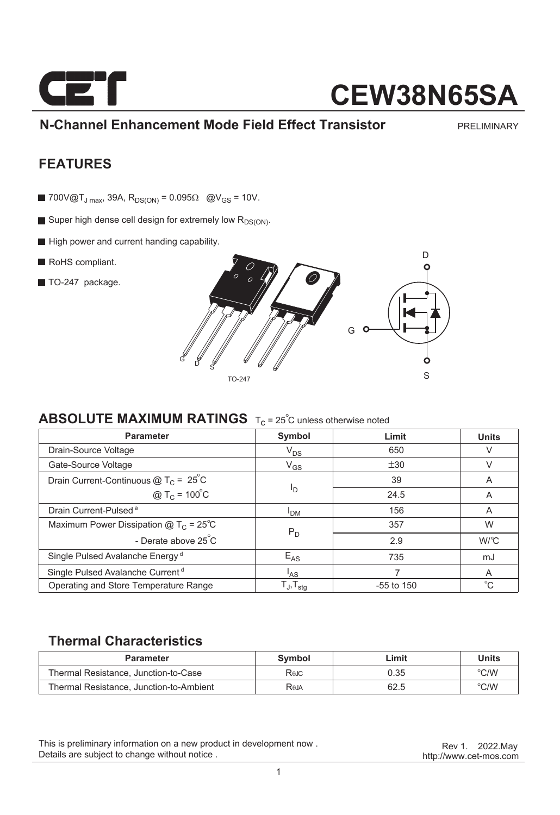

## **CEW38N65SA**

**N-Channel Enhancement Mode Field Effect Transistor**

PRELIMINARY

### **FEATURES**

- **700V@T**<sub>J max</sub>, 39A,  $R_{DS(ON)} = 0.095\Omega$  @V<sub>GS</sub> = 10V.
- Super high dense cell design for extremely low  $R_{DS(ON)}$ .
- High power and current handing capability.
- RoHS compliant.
- TO-247 package.



### **ABSOLUTE MAXIMUM RATINGS** T<sub>C</sub> = 25<sup>°C</sup> unless otherwise noted

| <b>Parameter</b>                               | Symbol                     | Limit        | <b>Units</b> |
|------------------------------------------------|----------------------------|--------------|--------------|
| Drain-Source Voltage                           | $V_{DS}$                   | 650          | V            |
| Gate-Source Voltage                            | $V_{GS}$                   | ±30          |              |
| Drain Current-Continuous $@TC = 25°C$          |                            | 39           | A            |
| @ $T_c = 100^{\circ}C$                         | <sup>I</sup> D             | 24.5         | A            |
| Drain Current-Pulsed <sup>a</sup>              | <b>I<sub>DM</sub></b>      | 156          | A            |
| Maximum Power Dissipation $@T_c = 25^{\circ}C$ | $P_D$                      | 357          | W            |
| - Derate above 25 C                            |                            | 2.9          | $W^{\circ}C$ |
| Single Pulsed Avalanche Energy <sup>d</sup>    | $E_{AS}$                   | 735          | mJ           |
| Single Pulsed Avalanche Current <sup>d</sup>   | <sup>I</sup> AS            |              | A            |
| Operating and Store Temperature Range          | ${\sf T_J}, {\sf T_{stg}}$ | $-55$ to 150 | $^{\circ}C$  |

### **Thermal Characteristics**

| <b>Parameter</b>                        | Symbol | ∟imit | Units |
|-----------------------------------------|--------|-------|-------|
| Thermal Resistance, Junction-to-Case    | Rejc   | 0.35  | °C/W  |
| Thermal Resistance, Junction-to-Ambient | Raja   | 62.5  | °C/W  |

This is preliminary information on a new product in development now . Details are subject to change without notice .

http://www.cet-mos.com Rev 1. 2022.May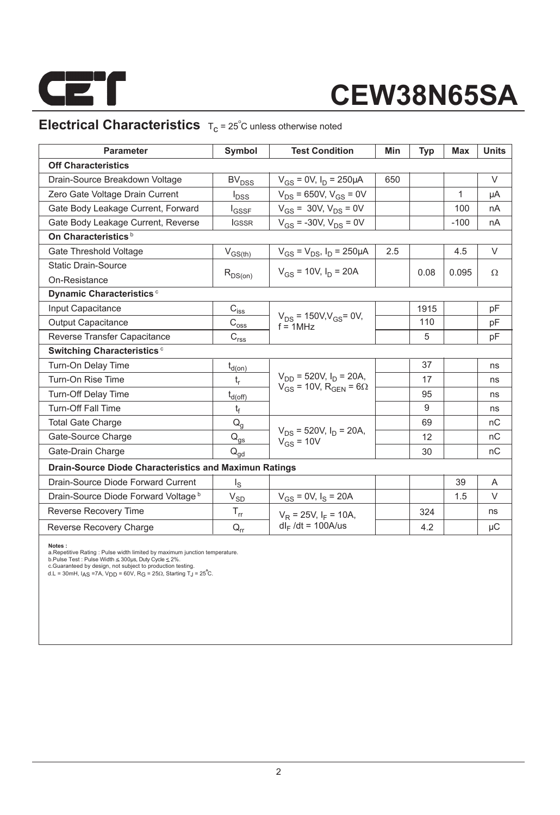

# **CEW38N65SA**

## **Electrical Characteristics**  $T_c = 25^\circ C$  unless otherwise noted

| <b>Parameter</b>                                              | Symbol                  | <b>Test Condition</b>                           | Min | <b>Typ</b> | <b>Max</b> | <b>Units</b>    |  |  |  |  |
|---------------------------------------------------------------|-------------------------|-------------------------------------------------|-----|------------|------------|-----------------|--|--|--|--|
| <b>Off Characteristics</b>                                    |                         |                                                 |     |            |            |                 |  |  |  |  |
| Drain-Source Breakdown Voltage                                | <b>BV<sub>DSS</sub></b> | $V_{GS}$ = 0V, $I_D$ = 250µA                    | 650 |            |            | $\vee$          |  |  |  |  |
| Zero Gate Voltage Drain Current                               | $I_{DSS}$               | $V_{DS}$ = 650V, $V_{GS}$ = 0V                  |     |            | 1          | μA              |  |  |  |  |
| Gate Body Leakage Current, Forward                            | <b>I</b> GSSF           | $V_{GS}$ = 30V, $V_{DS}$ = 0V                   |     |            | 100        | nA              |  |  |  |  |
| Gate Body Leakage Current, Reverse                            | <b>IGSSR</b>            | $V_{GS}$ = -30V, $V_{DS}$ = 0V                  |     |            | $-100$     | nA              |  |  |  |  |
| On Characteristics <sup>b</sup>                               |                         |                                                 |     |            |            |                 |  |  |  |  |
| Gate Threshold Voltage                                        | $V_{GS(th)}$            | $V_{GS} = V_{DS}$ , $I_D = 250 \mu A$           | 2.5 |            | 4.5        | $\vee$          |  |  |  |  |
| <b>Static Drain-Source</b>                                    |                         | $V_{gs}$ = 10V, $I_{D}$ = 20A                   |     | 0.08       | 0.095      | $\Omega$        |  |  |  |  |
| On-Resistance                                                 | $R_{DS(on)}$            |                                                 |     |            |            |                 |  |  |  |  |
| Dynamic Characteristics <sup>c</sup>                          |                         |                                                 |     |            |            |                 |  |  |  |  |
| Input Capacitance                                             | $C_{i s \underline{s}}$ |                                                 |     | 1915       |            | pF              |  |  |  |  |
| <b>Output Capacitance</b>                                     | $\text{C}_{\text{osg}}$ | $V_{DS}$ = 150V, $V_{GS}$ = 0V,<br>$f = 1$ MHz  |     | 110        |            | pF              |  |  |  |  |
| Reverse Transfer Capacitance                                  | $C_{r \underline{ss}}$  |                                                 |     | 5          |            | pF              |  |  |  |  |
| Switching Characteristics <sup>c</sup>                        |                         |                                                 |     |            |            |                 |  |  |  |  |
| Turn-On Delay Time                                            | $t_{d(\underline{on})}$ |                                                 |     | 37         |            | ns              |  |  |  |  |
| Turn-On Rise Time                                             | $t_r$                   | $V_{DD}$ = 520V, $I_D$ = 20A,                   |     | 17         |            | ns              |  |  |  |  |
| <b>Turn-Off Delay Time</b>                                    | $t_{d(\text{off})}$     | $V_{GS}$ = 10V, R <sub>GEN</sub> = 6 $\Omega$   |     | 95         |            | ns              |  |  |  |  |
| <b>Turn-Off Fall Time</b>                                     | t <sub>f</sub>          |                                                 |     | 9          |            | ns              |  |  |  |  |
| <b>Total Gate Charge</b>                                      | $Q_{q}$                 |                                                 |     | 69         |            | nC              |  |  |  |  |
| Gate-Source Charge                                            | $Q_{gs}$                | $V_{DS}$ = 520V, $I_D$ = 20A,<br>$V_{GS}$ = 10V |     | 12         |            | nC              |  |  |  |  |
| Gate-Drain Charge                                             | $Q_{qd}$                |                                                 |     | 30         |            | nC              |  |  |  |  |
| <b>Drain-Source Diode Characteristics and Maximun Ratings</b> |                         |                                                 |     |            |            |                 |  |  |  |  |
| Drain-Source Diode Forward Current                            | $\mathsf{I}_\mathsf{S}$ |                                                 |     |            | 39         | A               |  |  |  |  |
| Drain-Source Diode Forward Voltage b                          | $V_{SD}$                | $V_{GS} = 0V$ , $I_S = 20A$                     |     |            | 1.5        | V               |  |  |  |  |
| <b>Reverse Recovery Time</b>                                  | $T_{rr}$                | $V_R = 25V$ , $I_F = 10A$ ,                     |     | 324        |            | ns              |  |  |  |  |
| Reverse Recovery Charge                                       | $Q_{rr}$                | $dl_F/dt = 100A/us$                             |     | 4.2        |            | $\upmu\text{C}$ |  |  |  |  |

**Notes :**<br>a.Repetitive Rating : Pulse width limited by maximum junction temperature.<br>b.Pulse Test : Pulse Width ≤ 300µs, Duty Cycle ≤ 2%.<br>c.Guaranteed by design, not subject to production testing.

d.L = 30mH, I<sub>AS</sub> =7A, V<sub>DD</sub> = 60V, R<sub>G</sub> = 25 $\Omega$ , Starting T $_{\text{J}}$  = 25 $\degree$ C.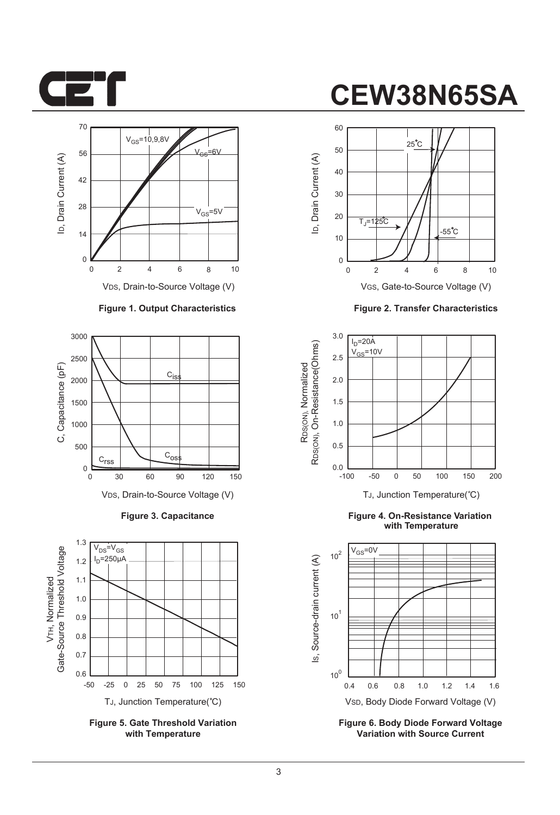



#### **Figure 1. Output Characteristics**



**Figure 3. Capacitance**



**Figure 5. Gate Threshold Variation with Temperature**

## **CEW38N65SA**







**Figure 4. On-Resistance Variation with Temperature**



**Figure 6. Body Diode Forward Voltage Variation with Source Current**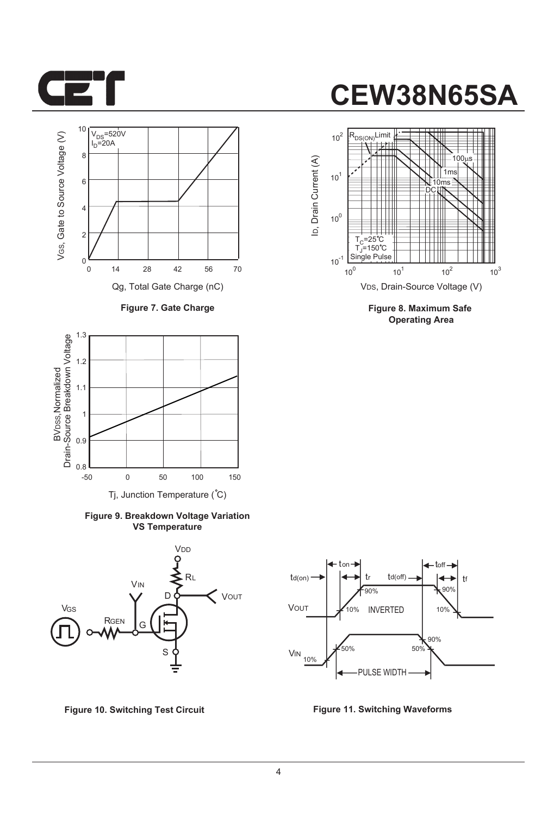

## 10 VGS, Gate to Source Voltage (V) Drain-Source Breakdown Voltage VGS, Gate to Source Voltage (V) V<sub>DS</sub>=520V<br>I<sub>D</sub>=20A 8 6 4 2  $0\frac{K}{0}$ 0 14 28 42 70 Qg, Total Gate Charge (nC)

**Figure 7. Gate Charge**



**Figure 9. Breakdown Voltage Variation VS Temperature**



**Figure 10. Switching Test Circuit Figure 11. Switching Waveforms**

# **CEW38N65SA**



**Figure 8. Maximum Safe Operating Area**